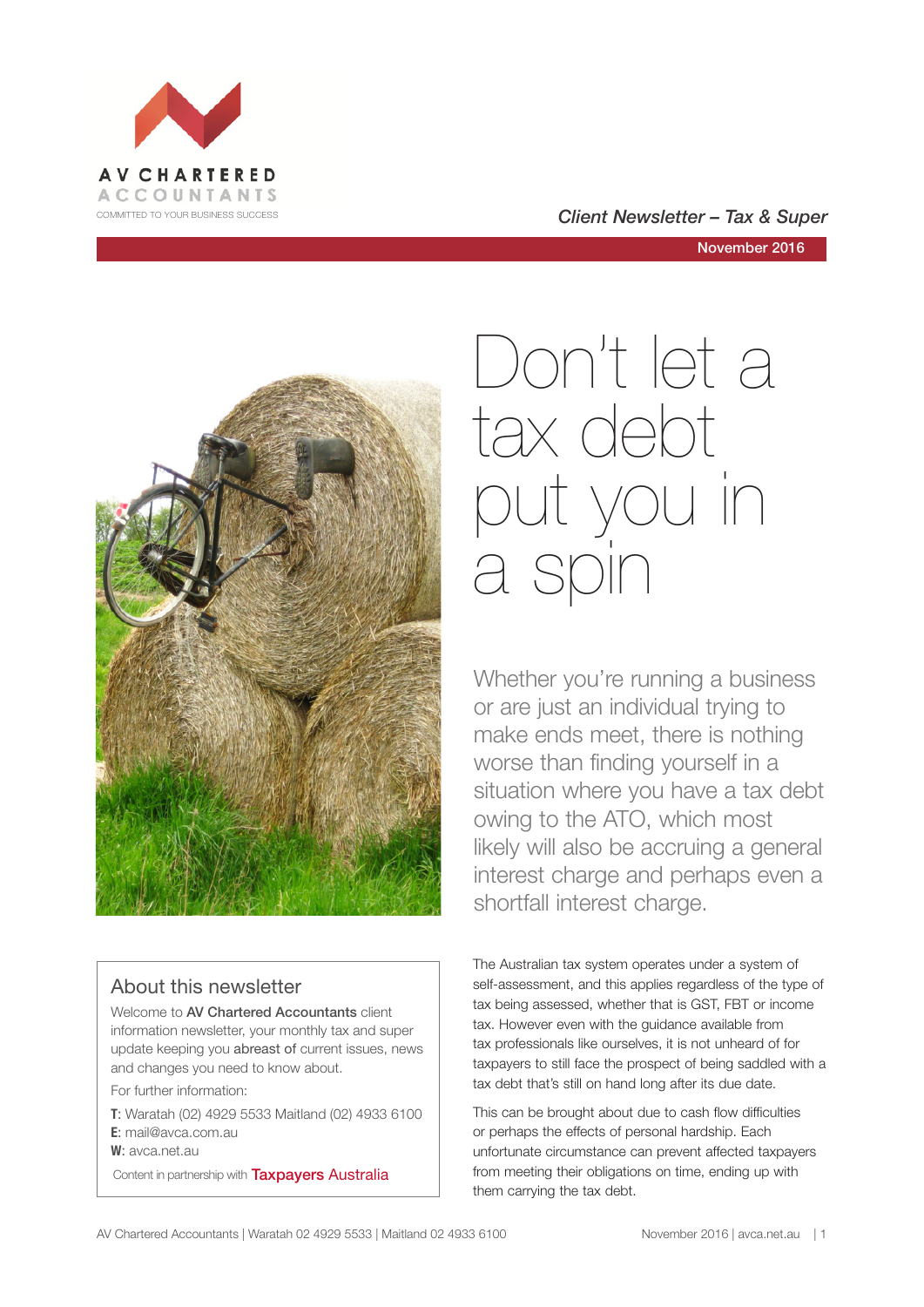





#### About this newsletter

Welcome to AV Chartered Accountants client information newsletter, your monthly tax and super update keeping you abreast of current issues, news and changes you need to know about.

For further information:

**T**: Waratah (02) 4929 5533 Maitland (02) 4933 6100 **E**: mail@avca.com.au

**W**: avca.net.au

Content in partnership with **Taxpayers Australia** 

# Don't let a tax debt put you in a spin

Whether you're running a business or are just an individual trying to make ends meet, there is nothing worse than finding yourself in a situation where you have a tax debt owing to the ATO, which most likely will also be accruing a general interest charge and perhaps even a shortfall interest charge.

The Australian tax system operates under a system of self-assessment, and this applies regardless of the type of tax being assessed, whether that is GST, FBT or income tax. However even with the guidance available from tax professionals like ourselves, it is not unheard of for taxpayers to still face the prospect of being saddled with a tax debt that's still on hand long after its due date.

This can be brought about due to cash flow difficulties or perhaps the effects of personal hardship. Each unfortunate circumstance can prevent affected taxpayers from meeting their obligations on time, ending up with them carrying the tax debt.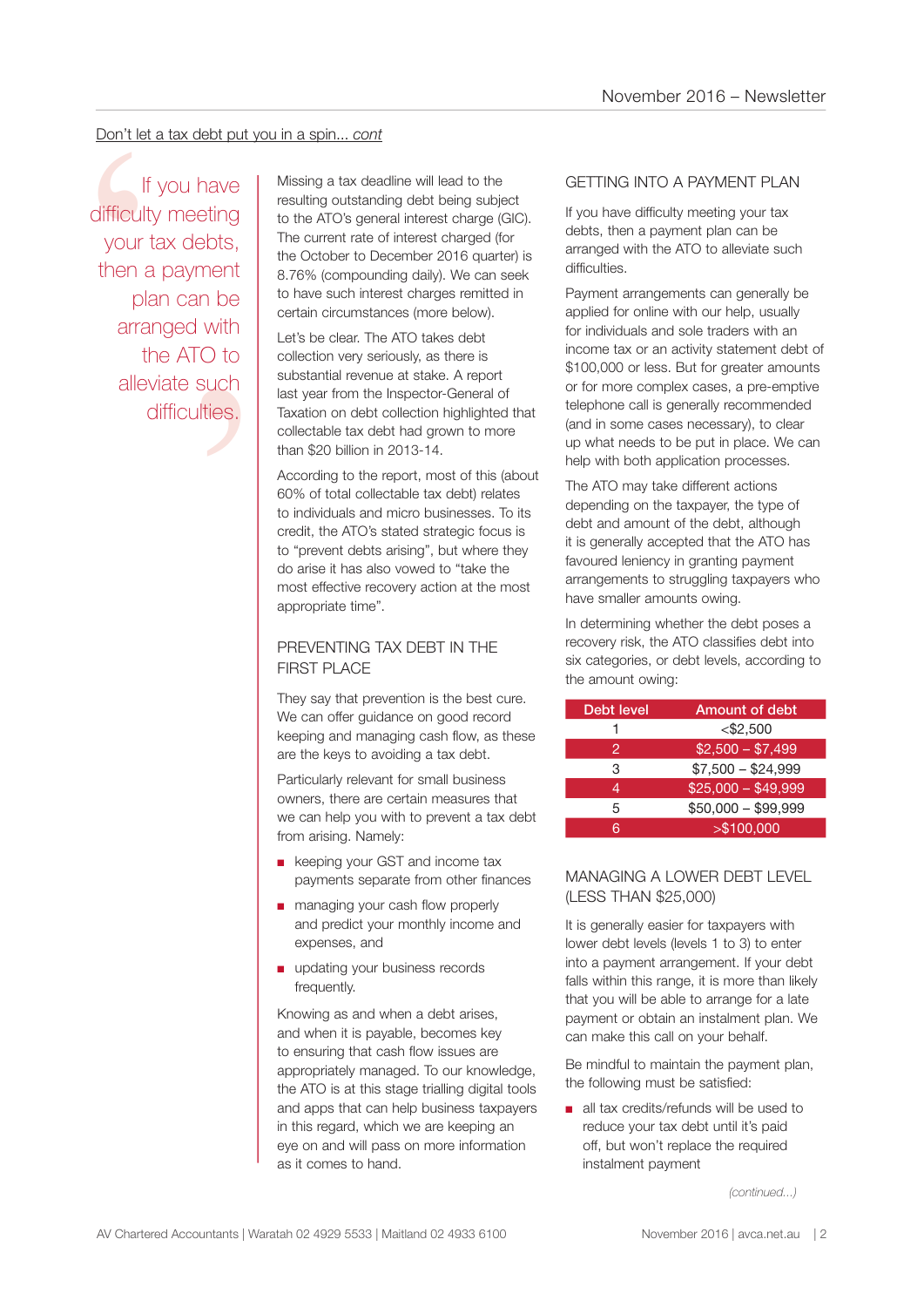#### Don't let a tax debt put you in a spin... *cont*

n be<br>
n be<br>
with<br>
O to<br>
such<br>
ties. If you have difficulty meeting your tax debts, then a payment plan can be arranged with the ATO to alleviate such difficulties.

Don't let a tax debt put you in a spin... cont<br>
If you have<br>
If you have<br>
If would have<br>
If itsing a tax deadline will lead to the<br>
resulting outstanding debt being subject to the ATO's general interest charged (for<br>
the A resulting outstanding debt being subject to the ATO's general interest charge (GIC). The current rate of interest charged (for the October to December 2016 quarter) is 8.76% (compounding daily). We can seek to have such interest charges remitted in certain circumstances (more below).

Let's be clear. The ATO takes debt collection very seriously, as there is substantial revenue at stake. A report last year from the Inspector-General of Taxation on debt collection highlighted that collectable tax debt had grown to more than \$20 billion in 2013-14.

According to the report, most of this (about 60% of total collectable tax debt) relates to individuals and micro businesses. To its credit, the ATO's stated strategic focus is to "prevent debts arising", but where they do arise it has also vowed to "take the most effective recovery action at the most appropriate time".

#### PREVENTING TAX DEBT IN THE FIRST PLACE

They say that prevention is the best cure. We can offer guidance on good record keeping and managing cash flow, as these are the keys to avoiding a tax debt.

Particularly relevant for small business owners, there are certain measures that we can help you with to prevent a tax debt from arising. Namely:

- keeping your GST and income tax payments separate from other finances
- managing your cash flow properly and predict your monthly income and expenses, and
- updating your business records frequently.

Knowing as and when a debt arises, and when it is payable, becomes key to ensuring that cash flow issues are appropriately managed. To our knowledge, the ATO is at this stage trialling digital tools and apps that can help business taxpayers in this regard, which we are keeping an eye on and will pass on more information as it comes to hand.

#### GETTING INTO A PAYMENT PLAN

If you have difficulty meeting your tax debts, then a payment plan can be arranged with the ATO to alleviate such difficulties.

Payment arrangements can generally be applied for online with our help, usually for individuals and sole traders with an income tax or an activity statement debt of \$100,000 or less. But for greater amounts or for more complex cases, a pre-emptive telephone call is generally recommended (and in some cases necessary), to clear up what needs to be put in place. We can help with both application processes.

The ATO may take different actions depending on the taxpayer, the type of debt and amount of the debt, although it is generally accepted that the ATO has favoured leniency in granting payment arrangements to struggling taxpayers who have smaller amounts owing.

In determining whether the debt poses a recovery risk, the ATO classifies debt into six categories, or debt levels, according to the amount owing:

| Debt level | Amount of debt      |
|------------|---------------------|
|            | $<$ \$2,500         |
| 2          | $$2,500 - $7,499$   |
| 3          | $$7,500 - $24,999$  |
| 4          | $$25,000 - $49,999$ |
| 5          | $$50,000 - $99,999$ |
| ิล         | > \$100,000         |

#### MANAGING A LOWER DEBT LEVEL (LESS THAN \$25,000)

It is generally easier for taxpayers with lower debt levels (levels 1 to 3) to enter into a payment arrangement. If your debt falls within this range, it is more than likely that you will be able to arrange for a late payment or obtain an instalment plan. We can make this call on your behalf.

Be mindful to maintain the payment plan, the following must be satisfied:

■ all tax credits/refunds will be used to reduce your tax debt until it's paid off, but won't replace the required instalment payment

*(continued...)*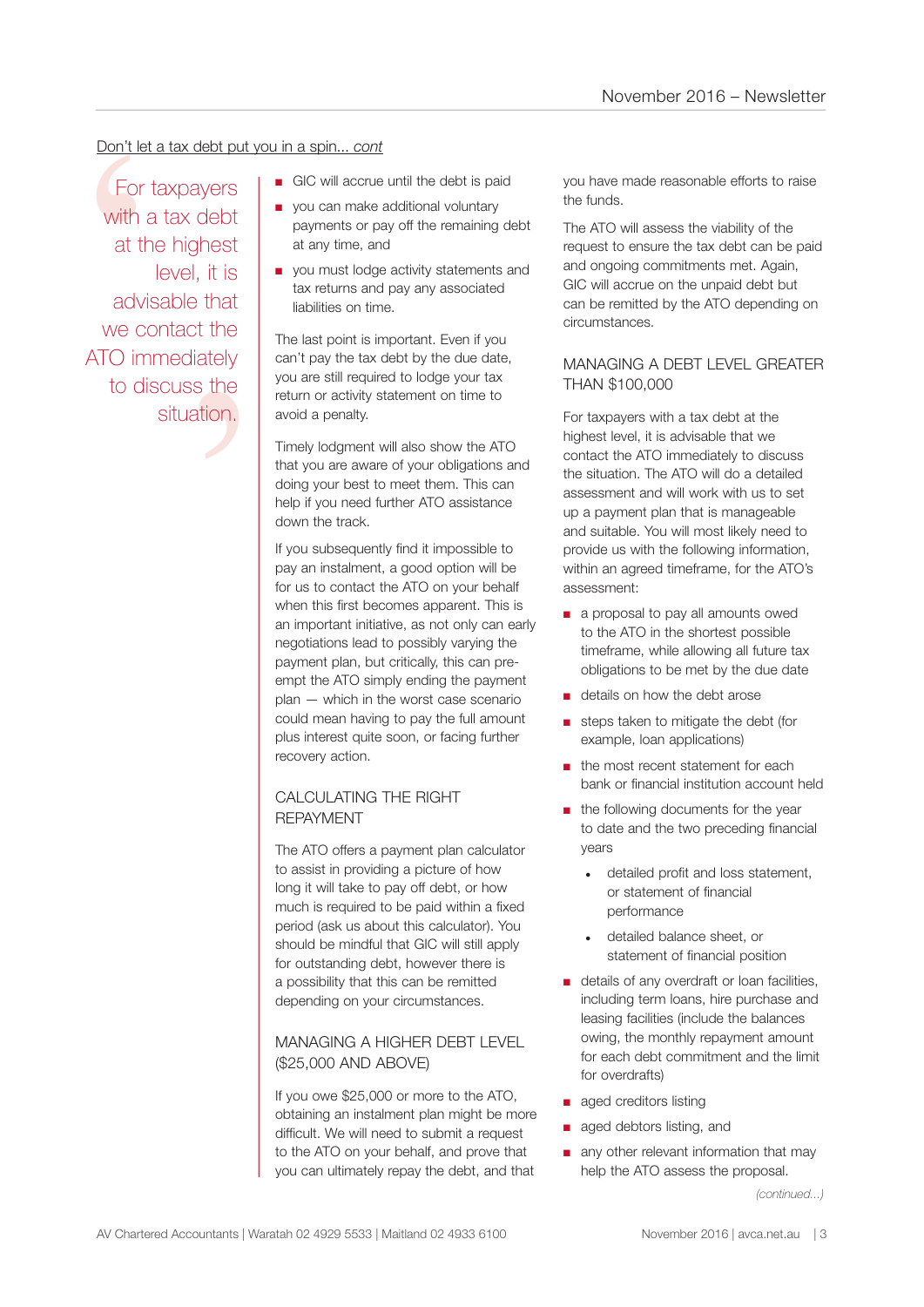#### Don't let a tax debt put you in a spin... *cont*

that<br>t the<br>ately<br>s the<br>tion. Don't let a<br>
For ta<br>
with a<br>
at the<br>
advis<br>
we con<br>
ATO imm<br>
to dis For taxpayers with a tax debt at the highest level, it is advisable that we contact the ATO immediately to discuss the situation.

- GIC will accrue until the debt is paid
- you can make additional voluntary payments or pay off the remaining debt at any time, and
- you must lodge activity statements and tax returns and pay any associated liabilities on time.

The last point is important. Even if you can't pay the tax debt by the due date, you are still required to lodge your tax return or activity statement on time to avoid a penalty.

Timely lodgment will also show the ATO that you are aware of your obligations and doing your best to meet them. This can help if you need further ATO assistance down the track.

If you subsequently find it impossible to pay an instalment, a good option will be for us to contact the ATO on your behalf when this first becomes apparent. This is an important initiative, as not only can early negotiations lead to possibly varying the payment plan, but critically, this can preempt the ATO simply ending the payment plan — which in the worst case scenario could mean having to pay the full amount plus interest quite soon, or facing further recovery action.

#### CALCULATING THE RIGHT REPAYMENT

The ATO offers a payment plan calculator to assist in providing a picture of how long it will take to pay off debt, or how much is required to be paid within a fixed period (ask us about this calculator). You should be mindful that GIC will still apply for outstanding debt, however there is a possibility that this can be remitted depending on your circumstances.

#### MANAGING A HIGHER DEBT LEVEL (\$25,000 AND ABOVE)

If you owe \$25,000 or more to the ATO, obtaining an instalment plan might be more difficult. We will need to submit a request to the ATO on your behalf, and prove that you can ultimately repay the debt, and that

you have made reasonable efforts to raise the funds.

The ATO will assess the viability of the request to ensure the tax debt can be paid and ongoing commitments met. Again, GIC will accrue on the unpaid debt but can be remitted by the ATO depending on circumstances.

#### MANAGING A DEBT LEVEL GREATER THAN \$100,000

For taxpayers with a tax debt at the highest level, it is advisable that we contact the ATO immediately to discuss the situation. The ATO will do a detailed assessment and will work with us to set up a payment plan that is manageable and suitable. You will most likely need to provide us with the following information, within an agreed timeframe, for the ATO's assessment:

- a proposal to pay all amounts owed to the ATO in the shortest possible timeframe, while allowing all future tax obligations to be met by the due date
- details on how the debt arose
- steps taken to mitigate the debt (for example, loan applications)
- the most recent statement for each bank or financial institution account held
- the following documents for the year to date and the two preceding financial years
	- detailed profit and loss statement, or statement of financial performance
	- detailed balance sheet, or statement of financial position
- details of any overdraft or loan facilities, including term loans, hire purchase and leasing facilities (include the balances owing, the monthly repayment amount for each debt commitment and the limit for overdrafts)
- aged creditors listing
- aged debtors listing, and
- any other relevant information that may help the ATO assess the proposal.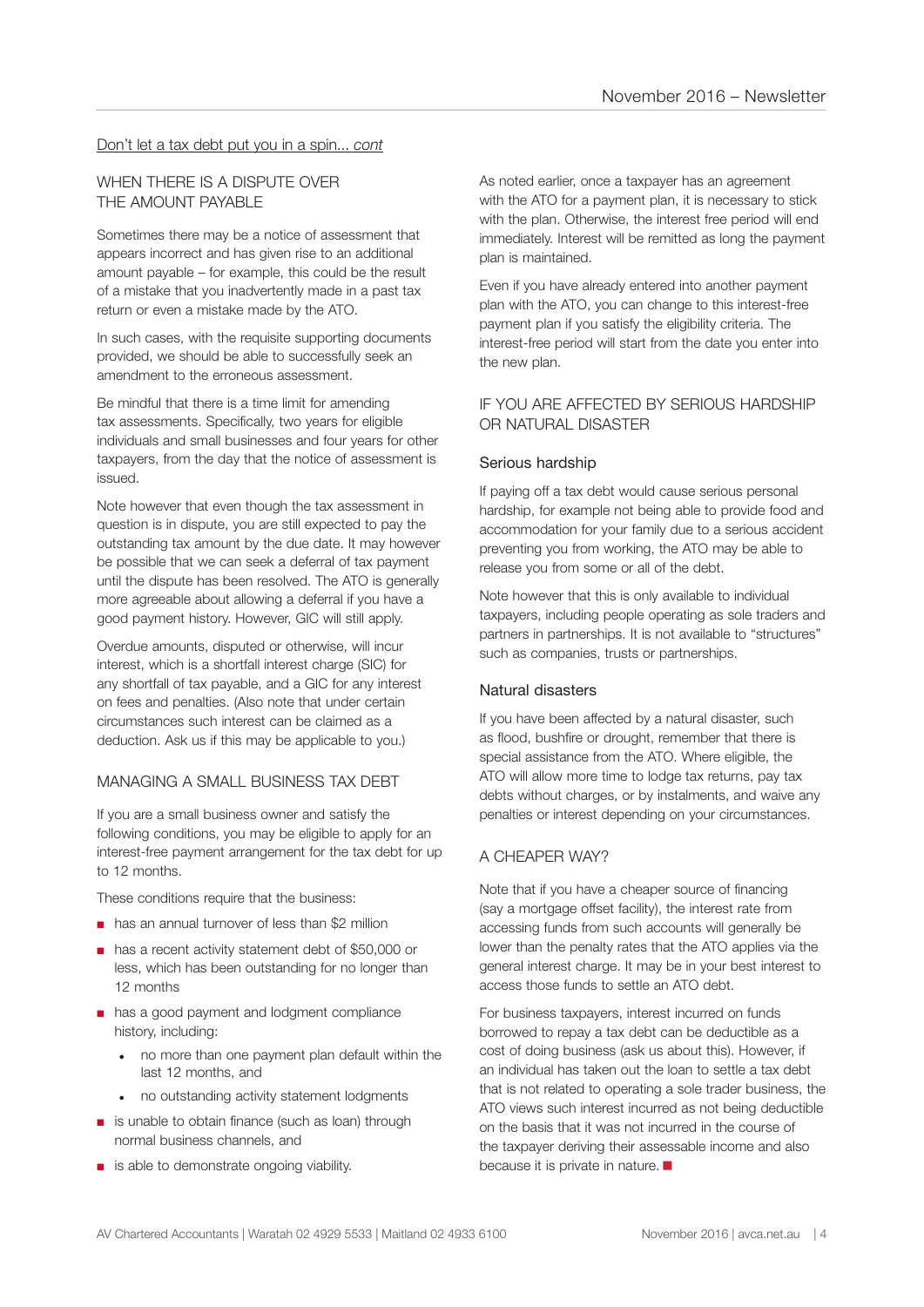#### Don't let a tax debt put you in a spin... *cont*

#### WHEN THERE IS A DISPUTE OVER THE AMOUNT PAYABLE

Sometimes there may be a notice of assessment that appears incorrect and has given rise to an additional amount payable – for example, this could be the result of a mistake that you inadvertently made in a past tax return or even a mistake made by the ATO.

In such cases, with the requisite supporting documents provided, we should be able to successfully seek an amendment to the erroneous assessment.

Be mindful that there is a time limit for amending tax assessments. Specifically, two years for eligible individuals and small businesses and four years for other taxpayers, from the day that the notice of assessment is issued.

Note however that even though the tax assessment in question is in dispute, you are still expected to pay the outstanding tax amount by the due date. It may however be possible that we can seek a deferral of tax payment until the dispute has been resolved. The ATO is generally more agreeable about allowing a deferral if you have a good payment history. However, GIC will still apply.

Overdue amounts, disputed or otherwise, will incur interest, which is a shortfall interest charge (SIC) for any shortfall of tax payable, and a GIC for any interest on fees and penalties. (Also note that under certain circumstances such interest can be claimed as a deduction. Ask us if this may be applicable to you.)

#### MANAGING A SMALL BUSINESS TAX DEBT

If you are a small business owner and satisfy the following conditions, you may be eligible to apply for an interest-free payment arrangement for the tax debt for up to 12 months.

These conditions require that the business:

- has an annual turnover of less than \$2 million
- has a recent activity statement debt of \$50,000 or less, which has been outstanding for no longer than 12 months
- has a good payment and lodgment compliance history, including:
	- no more than one payment plan default within the last 12 months, and
	- no outstanding activity statement lodgments
- is unable to obtain finance (such as loan) through normal business channels, and
- is able to demonstrate ongoing viability.

As noted earlier, once a taxpayer has an agreement with the ATO for a payment plan, it is necessary to stick with the plan. Otherwise, the interest free period will end immediately. Interest will be remitted as long the payment plan is maintained.

Even if you have already entered into another payment plan with the ATO, you can change to this interest-free payment plan if you satisfy the eligibility criteria. The interest-free period will start from the date you enter into the new plan.

#### IF YOU ARE AFFECTED BY SERIOUS HARDSHIP OR NATURAL DISASTER

#### Serious hardship

If paying off a tax debt would cause serious personal hardship, for example not being able to provide food and accommodation for your family due to a serious accident preventing you from working, the ATO may be able to release you from some or all of the debt.

Note however that this is only available to individual taxpayers, including people operating as sole traders and partners in partnerships. It is not available to "structures" such as companies, trusts or partnerships.

#### Natural disasters

If you have been affected by a natural disaster, such as flood, bushfire or drought, remember that there is special assistance from the ATO. Where eligible, the ATO will allow more time to lodge tax returns, pay tax debts without charges, or by instalments, and waive any penalties or interest depending on your circumstances.

#### A CHEAPER WAY?

Note that if you have a cheaper source of financing (say a mortgage offset facility), the interest rate from accessing funds from such accounts will generally be lower than the penalty rates that the ATO applies via the general interest charge. It may be in your best interest to access those funds to settle an ATO debt.

For business taxpayers, interest incurred on funds borrowed to repay a tax debt can be deductible as a cost of doing business (ask us about this). However, if an individual has taken out the loan to settle a tax debt that is not related to operating a sole trader business, the ATO views such interest incurred as not being deductible on the basis that it was not incurred in the course of the taxpayer deriving their assessable income and also because it is private in nature.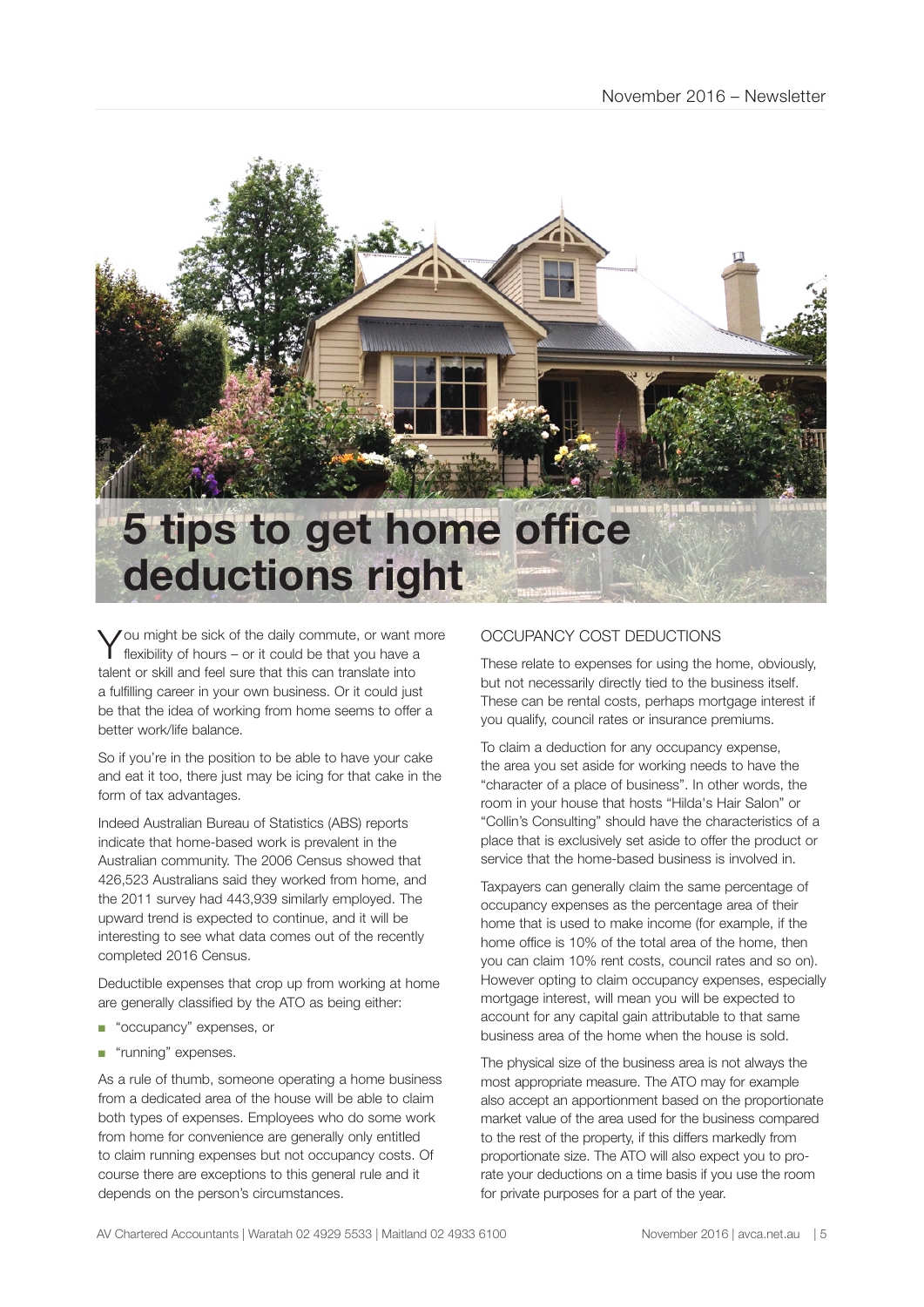

You might be sick of the daily commute, or want more flexibility of hours – or it could be that you have a talent or skill and feel sure that this can translate into a fulfilling career in your own business. Or it could just be that the idea of working from home seems to offer a better work/life balance.

So if you're in the position to be able to have your cake and eat it too, there just may be icing for that cake in the form of tax advantages.

Indeed Australian Bureau of Statistics (ABS) reports indicate that home-based work is prevalent in the Australian community. The 2006 Census showed that 426,523 Australians said they worked from home, and the 2011 survey had 443,939 similarly employed. The upward trend is expected to continue, and it will be interesting to see what data comes out of the recently completed 2016 Census.

Deductible expenses that crop up from working at home are generally classified by the ATO as being either:

- "occupancy" expenses, or
- "running" expenses.

As a rule of thumb, someone operating a home business from a dedicated area of the house will be able to claim both types of expenses. Employees who do some work from home for convenience are generally only entitled to claim running expenses but not occupancy costs. Of course there are exceptions to this general rule and it depends on the person's circumstances.

#### OCCUPANCY COST DEDUCTIONS

These relate to expenses for using the home, obviously, but not necessarily directly tied to the business itself. These can be rental costs, perhaps mortgage interest if you qualify, council rates or insurance premiums.

To claim a deduction for any occupancy expense, the area you set aside for working needs to have the "character of a place of business". In other words, the room in your house that hosts "Hilda's Hair Salon" or "Collin's Consulting" should have the characteristics of a place that is exclusively set aside to offer the product or service that the home-based business is involved in.

Taxpayers can generally claim the same percentage of occupancy expenses as the percentage area of their home that is used to make income (for example, if the home office is 10% of the total area of the home, then you can claim 10% rent costs, council rates and so on). However opting to claim occupancy expenses, especially mortgage interest, will mean you will be expected to account for any capital gain attributable to that same business area of the home when the house is sold.

The physical size of the business area is not always the most appropriate measure. The ATO may for example also accept an apportionment based on the proportionate market value of the area used for the business compared to the rest of the property, if this differs markedly from proportionate size. The ATO will also expect you to prorate your deductions on a time basis if you use the room for private purposes for a part of the year.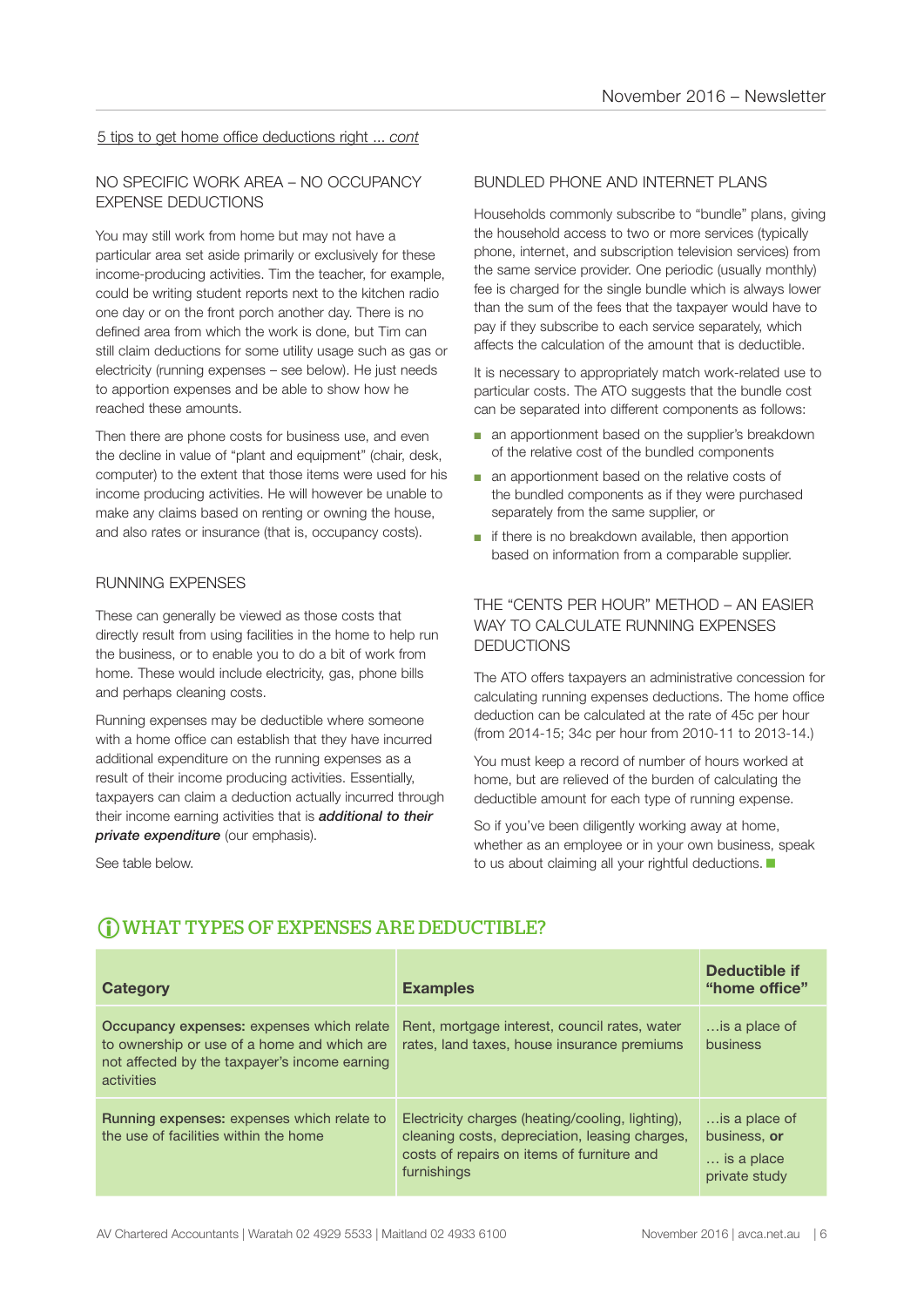#### 5 tips to get home office deductions right ... *cont*

#### NO SPECIFIC WORK AREA – NO OCCUPANCY EXPENSE DEDUCTIONS

You may still work from home but may not have a particular area set aside primarily or exclusively for these income-producing activities. Tim the teacher, for example, could be writing student reports next to the kitchen radio one day or on the front porch another day. There is no defined area from which the work is done, but Tim can still claim deductions for some utility usage such as gas or electricity (running expenses – see below). He just needs to apportion expenses and be able to show how he reached these amounts.

Then there are phone costs for business use, and even the decline in value of "plant and equipment" (chair, desk, computer) to the extent that those items were used for his income producing activities. He will however be unable to make any claims based on renting or owning the house, and also rates or insurance (that is, occupancy costs).

#### RUNNING EXPENSES

These can generally be viewed as those costs that directly result from using facilities in the home to help run the business, or to enable you to do a bit of work from home. These would include electricity, gas, phone bills and perhaps cleaning costs.

Running expenses may be deductible where someone with a home office can establish that they have incurred additional expenditure on the running expenses as a result of their income producing activities. Essentially, taxpayers can claim a deduction actually incurred through their income earning activities that is *additional to their private expenditure* (our emphasis).

See table below.

#### BUNDLED PHONE AND INTERNET PLANS

Households commonly subscribe to "bundle" plans, giving the household access to two or more services (typically phone, internet, and subscription television services) from the same service provider. One periodic (usually monthly) fee is charged for the single bundle which is always lower than the sum of the fees that the taxpayer would have to pay if they subscribe to each service separately, which affects the calculation of the amount that is deductible.

It is necessary to appropriately match work-related use to particular costs. The ATO suggests that the bundle cost can be separated into different components as follows:

- an apportionment based on the supplier's breakdown of the relative cost of the bundled components
- an apportionment based on the relative costs of the bundled components as if they were purchased separately from the same supplier, or
- if there is no breakdown available, then apportion based on information from a comparable supplier.

#### THE "CENTS PER HOUR" METHOD – AN EASIER WAY TO CALCULATE RUNNING EXPENSES DEDUCTIONS

The ATO offers taxpayers an administrative concession for calculating running expenses deductions. The home office deduction can be calculated at the rate of 45c per hour (from 2014-15; 34c per hour from 2010-11 to 2013-14.)

You must keep a record of number of hours worked at home, but are relieved of the burden of calculating the deductible amount for each type of running expense.

So if you've been diligently working away at home, whether as an employee or in your own business, speak to us about claiming all your rightful deductions.

| Category                                                                                                                                                | <b>Examples</b>                                                                                                                                                 | Deductible if<br>"home office"                               |
|---------------------------------------------------------------------------------------------------------------------------------------------------------|-----------------------------------------------------------------------------------------------------------------------------------------------------------------|--------------------------------------------------------------|
| Occupancy expenses: expenses which relate<br>to ownership or use of a home and which are<br>not affected by the taxpayer's income earning<br>activities | Rent, mortgage interest, council rates, water<br>rates, land taxes, house insurance premiums                                                                    | is a place of<br>business                                    |
| <b>Running expenses: expenses which relate to</b><br>the use of facilities within the home                                                              | Electricity charges (heating/cooling, lighting),<br>cleaning costs, depreciation, leasing charges,<br>costs of repairs on items of furniture and<br>furnishings | is a place of<br>business, or<br>is a place<br>private study |

#### WHAT TYPES OF EXPENSES ARE DEDUCTIBLE?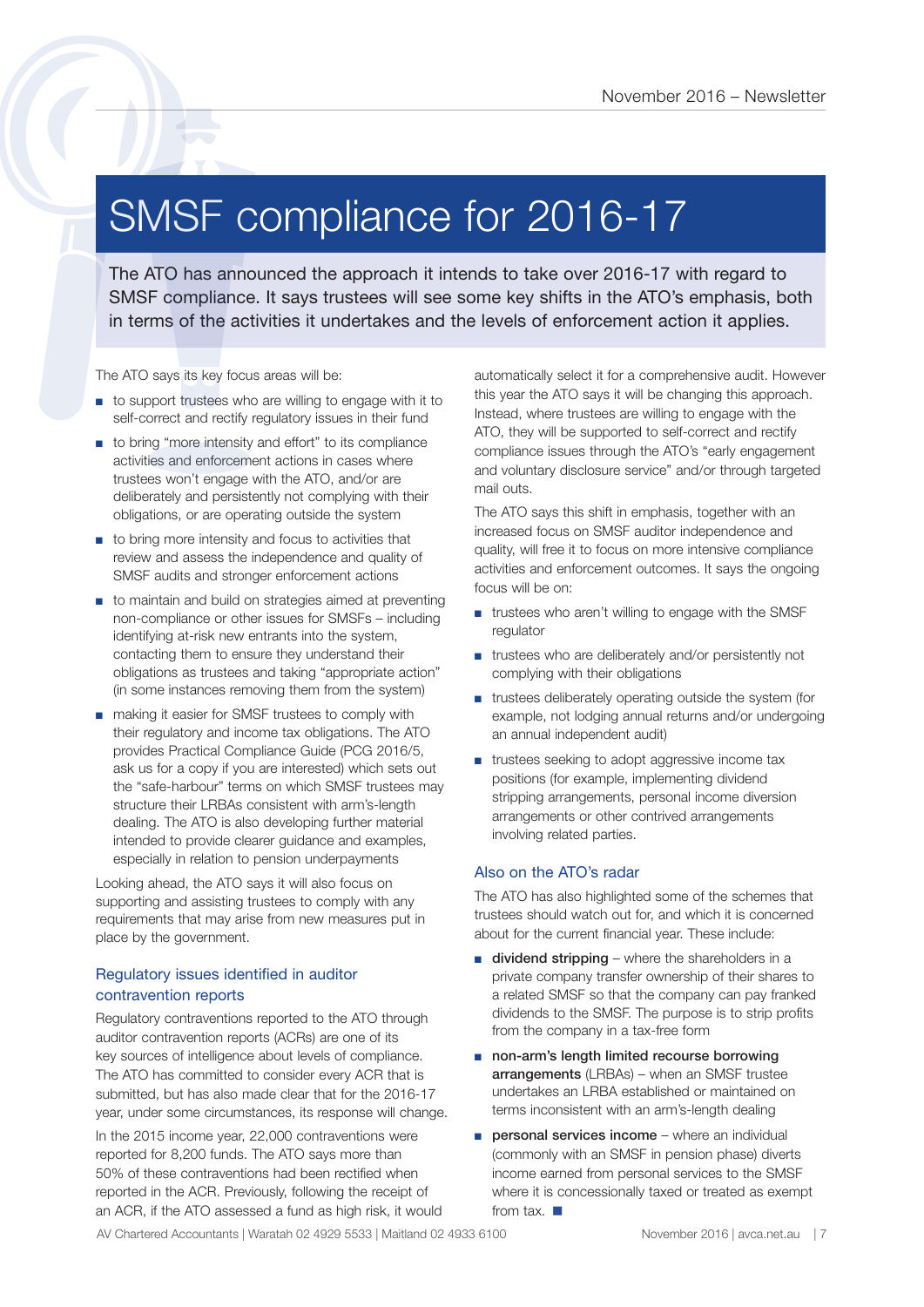### SMSF compliance for 2016-17

The ATO has announced the approach it intends to take over 2016-17 with regard to SMSF compliance for 2016 - Newslette<br>
SMSF compliance the approach it intends to take over 2016-17 with regard to<br>
SMSF compliance. It says trustees will see some key shifts in the ATO's emphasis, both<br>
in terms of the act

The ATO says its key focus areas will be:

- to support trustees who are willing to engage with it to self-correct and rectify regulatory issues in their fund
- to bring "more intensity and effort" to its compliance activities and enforcement actions in cases where trustees won't engage with the ATO, and/or are deliberately and persistently not complying with their obligations, or are operating outside the system
- to bring more intensity and focus to activities that review and assess the independence and quality of SMSF audits and stronger enforcement actions
- to maintain and build on strategies aimed at preventing non-compliance or other issues for SMSFs – including identifying at-risk new entrants into the system, contacting them to ensure they understand their obligations as trustees and taking "appropriate action" (in some instances removing them from the system)
- making it easier for SMSF trustees to comply with their regulatory and income tax obligations. The ATO provides Practical Compliance Guide (PCG 2016/5, ask us for a copy if you are interested) which sets out the "safe-harbour" terms on which SMSF trustees may structure their LRBAs consistent with arm's-length dealing. The ATO is also developing further material intended to provide clearer guidance and examples, especially in relation to pension underpayments

Looking ahead, the ATO says it will also focus on supporting and assisting trustees to comply with any requirements that may arise from new measures put in place by the government.

#### Regulatory issues identified in auditor contravention reports

Regulatory contraventions reported to the ATO through auditor contravention reports (ACRs) are one of its key sources of intelligence about levels of compliance. The ATO has committed to consider every ACR that is submitted, but has also made clear that for the 2016-17 year, under some circumstances, its response will change.

In the 2015 income year, 22,000 contraventions were reported for 8,200 funds. The ATO says more than 50% of these contraventions had been rectified when reported in the ACR. Previously, following the receipt of an ACR, if the ATO assessed a fund as high risk, it would automatically select it for a comprehensive audit. However this year the ATO says it will be changing this approach. Instead, where trustees are willing to engage with the ATO, they will be supported to self-correct and rectify compliance issues through the ATO's "early engagement and voluntary disclosure service" and/or through targeted mail outs.

The ATO says this shift in emphasis, together with an increased focus on SMSF auditor independence and quality, will free it to focus on more intensive compliance activities and enforcement outcomes. It says the ongoing focus will be on:

- trustees who aren't willing to engage with the SMSF regulator
- trustees who are deliberately and/or persistently not complying with their obligations
- trustees deliberately operating outside the system (for example, not lodging annual returns and/or undergoing an annual independent audit)
- trustees seeking to adopt aggressive income tax positions (for example, implementing dividend stripping arrangements, personal income diversion arrangements or other contrived arrangements involving related parties.

#### Also on the ATO's radar

The ATO has also highlighted some of the schemes that trustees should watch out for, and which it is concerned about for the current financial year. These include:

- dividend stripping where the shareholders in a private company transfer ownership of their shares to a related SMSF so that the company can pay franked dividends to the SMSF. The purpose is to strip profits from the company in a tax-free form
- non-arm's length limited recourse borrowing arrangements (LRBAs) – when an SMSF trustee undertakes an LRBA established or maintained on terms inconsistent with an arm's-length dealing
- personal services income where an individual (commonly with an SMSF in pension phase) diverts income earned from personal services to the SMSF where it is concessionally taxed or treated as exempt from tax.

AV Chartered Accountants | Waratah 02 4929 5533 | Maitland 02 4933 6100 November 2016 | avca.net.au | 7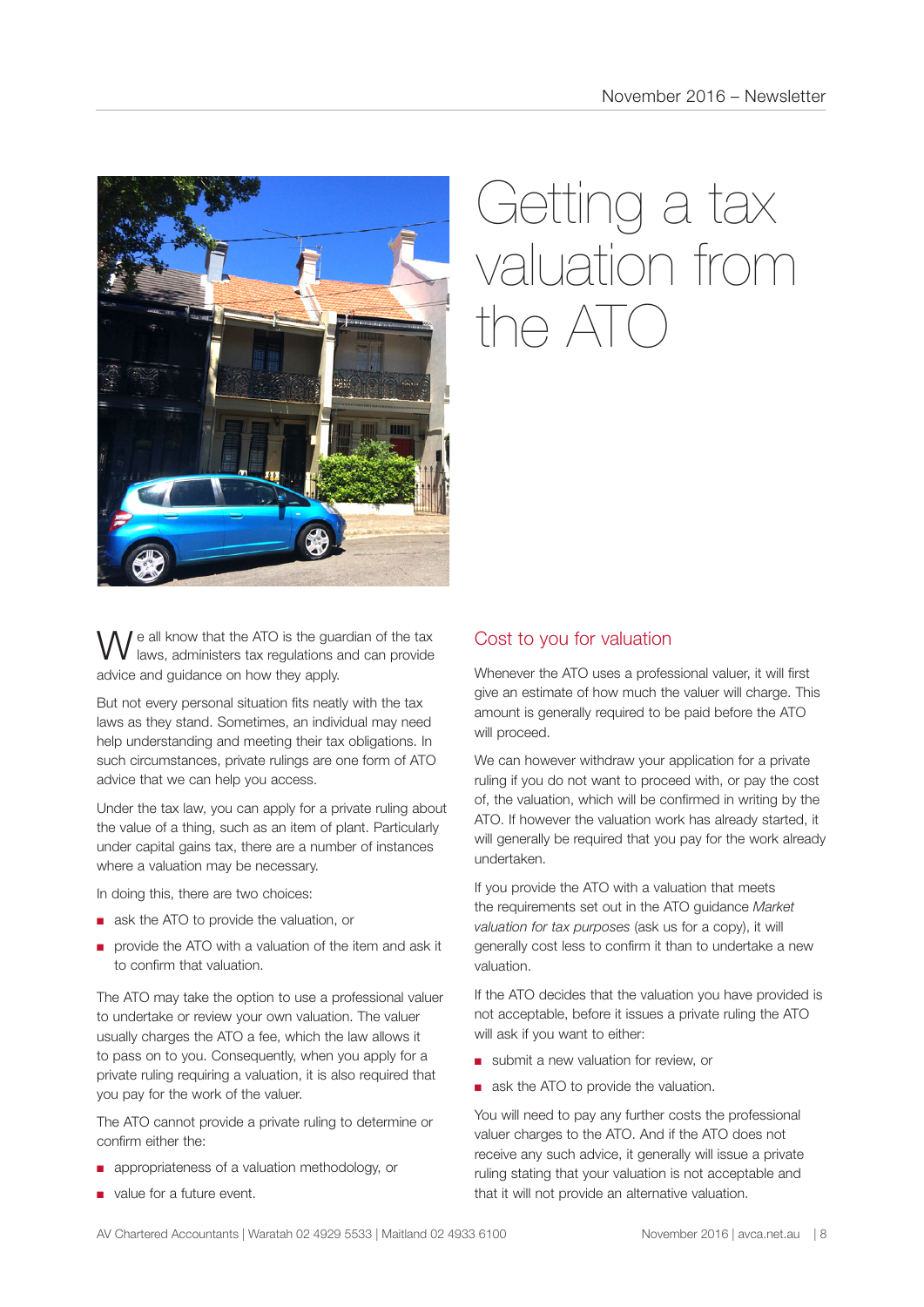

## Getting a tax valuation from  $n \in \Delta T$

e all know that the ATO is the guardian of the tax laws, administers tax regulations and can provide advice and guidance on how they apply.

But not every personal situation fits neatly with the tax laws as they stand. Sometimes, an individual may need help understanding and meeting their tax obligations. In such circumstances, private rulings are one form of ATO advice that we can help you access.

Under the tax law, you can apply for a private ruling about the value of a thing, such as an item of plant. Particularly under capital gains tax, there are a number of instances where a valuation may be necessary.

In doing this, there are two choices:

- ask the ATO to provide the valuation, or
- provide the ATO with a valuation of the item and ask it to confirm that valuation.

The ATO may take the option to use a professional valuer to undertake or review your own valuation. The valuer usually charges the ATO a fee, which the law allows it to pass on to you. Consequently, when you apply for a private ruling requiring a valuation, it is also required that you pay for the work of the valuer.

The ATO cannot provide a private ruling to determine or confirm either the:

- appropriateness of a valuation methodology, or
- value for a future event.

#### Cost to you for valuation

Whenever the ATO uses a professional valuer, it will first give an estimate of how much the valuer will charge. This amount is generally required to be paid before the ATO will proceed.

We can however withdraw your application for a private ruling if you do not want to proceed with, or pay the cost of, the valuation, which will be confirmed in writing by the ATO. If however the valuation work has already started, it will generally be required that you pay for the work already undertaken.

If you provide the ATO with a valuation that meets the requirements set out in the ATO guidance *Market valuation for tax purposes* (ask us for a copy), it will generally cost less to confirm it than to undertake a new valuation.

If the ATO decides that the valuation you have provided is not acceptable, before it issues a private ruling the ATO will ask if you want to either:

- submit a new valuation for review, or
- ask the ATO to provide the valuation.

You will need to pay any further costs the professional valuer charges to the ATO. And if the ATO does not receive any such advice, it generally will issue a private ruling stating that your valuation is not acceptable and that it will not provide an alternative valuation.